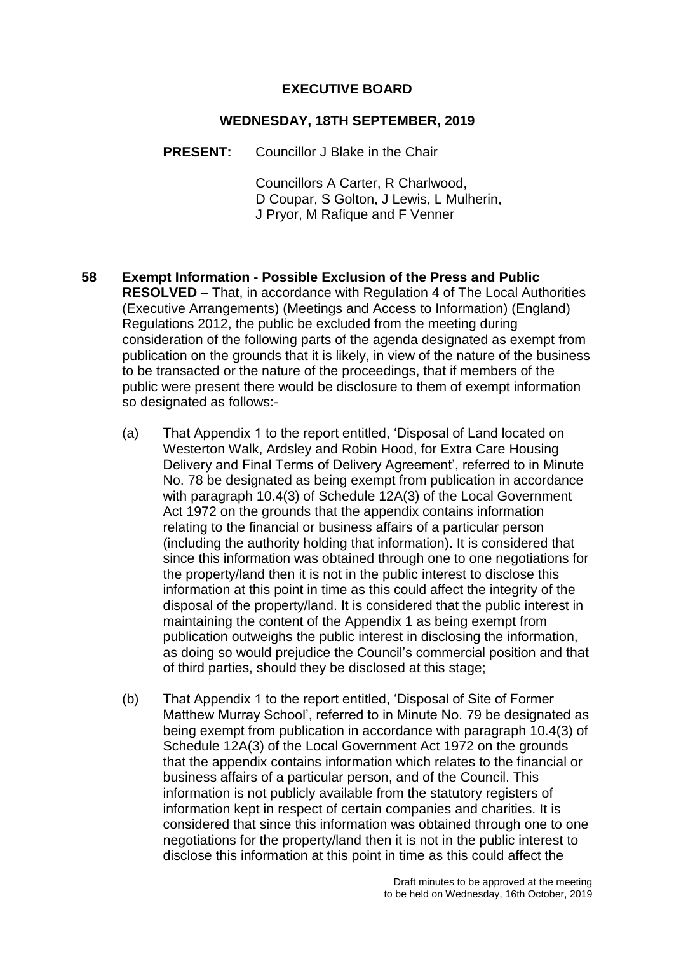#### **EXECUTIVE BOARD**

#### **WEDNESDAY, 18TH SEPTEMBER, 2019**

**PRESENT:** Councillor J Blake in the Chair

Councillors A Carter, R Charlwood, D Coupar, S Golton, J Lewis, L Mulherin, J Pryor, M Rafique and F Venner

- **58 Exempt Information - Possible Exclusion of the Press and Public RESOLVED –** That, in accordance with Regulation 4 of The Local Authorities (Executive Arrangements) (Meetings and Access to Information) (England) Regulations 2012, the public be excluded from the meeting during consideration of the following parts of the agenda designated as exempt from publication on the grounds that it is likely, in view of the nature of the business to be transacted or the nature of the proceedings, that if members of the public were present there would be disclosure to them of exempt information so designated as follows:-
	- (a) That Appendix 1 to the report entitled, 'Disposal of Land located on Westerton Walk, Ardsley and Robin Hood, for Extra Care Housing Delivery and Final Terms of Delivery Agreement', referred to in Minute No. 78 be designated as being exempt from publication in accordance with paragraph 10.4(3) of Schedule 12A(3) of the Local Government Act 1972 on the grounds that the appendix contains information relating to the financial or business affairs of a particular person (including the authority holding that information). It is considered that since this information was obtained through one to one negotiations for the property/land then it is not in the public interest to disclose this information at this point in time as this could affect the integrity of the disposal of the property/land. It is considered that the public interest in maintaining the content of the Appendix 1 as being exempt from publication outweighs the public interest in disclosing the information, as doing so would prejudice the Council's commercial position and that of third parties, should they be disclosed at this stage;
	- (b) That Appendix 1 to the report entitled, 'Disposal of Site of Former Matthew Murray School', referred to in Minute No. 79 be designated as being exempt from publication in accordance with paragraph 10.4(3) of Schedule 12A(3) of the Local Government Act 1972 on the grounds that the appendix contains information which relates to the financial or business affairs of a particular person, and of the Council. This information is not publicly available from the statutory registers of information kept in respect of certain companies and charities. It is considered that since this information was obtained through one to one negotiations for the property/land then it is not in the public interest to disclose this information at this point in time as this could affect the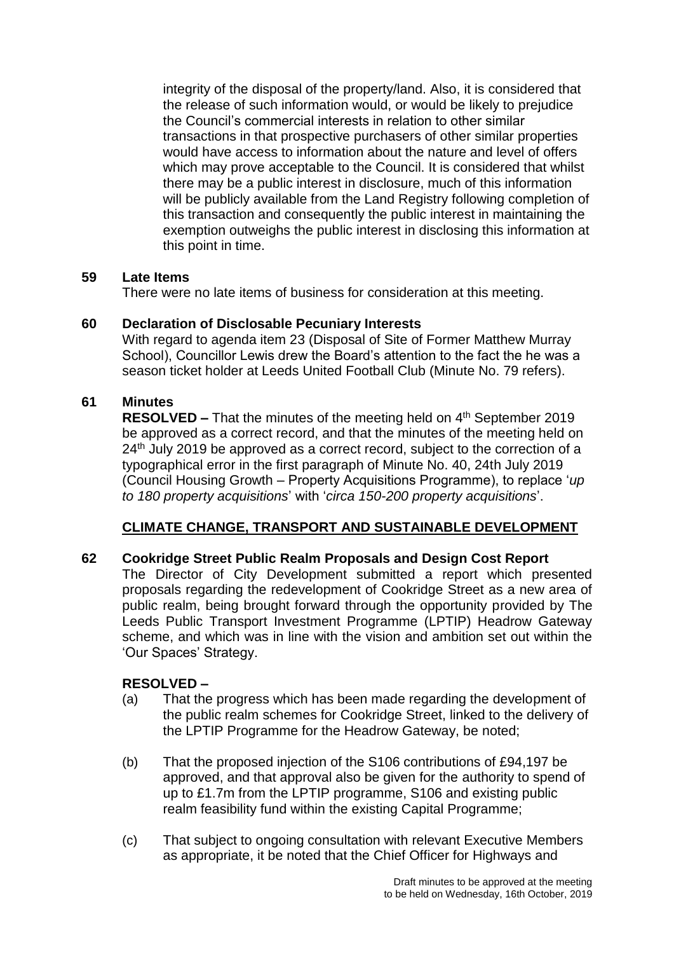integrity of the disposal of the property/land. Also, it is considered that the release of such information would, or would be likely to prejudice the Council's commercial interests in relation to other similar transactions in that prospective purchasers of other similar properties would have access to information about the nature and level of offers which may prove acceptable to the Council. It is considered that whilst there may be a public interest in disclosure, much of this information will be publicly available from the Land Registry following completion of this transaction and consequently the public interest in maintaining the exemption outweighs the public interest in disclosing this information at this point in time.

### **59 Late Items**

There were no late items of business for consideration at this meeting.

# **60 Declaration of Disclosable Pecuniary Interests**

With regard to agenda item 23 (Disposal of Site of Former Matthew Murray School), Councillor Lewis drew the Board's attention to the fact the he was a season ticket holder at Leeds United Football Club (Minute No. 79 refers).

# **61 Minutes**

**RESOLVED –** That the minutes of the meeting held on 4<sup>th</sup> September 2019 be approved as a correct record, and that the minutes of the meeting held on 24<sup>th</sup> July 2019 be approved as a correct record, subject to the correction of a typographical error in the first paragraph of Minute No. 40, 24th July 2019 (Council Housing Growth – Property Acquisitions Programme), to replace '*up to 180 property acquisitions*' with '*circa 150-200 property acquisitions*'.

# **CLIMATE CHANGE, TRANSPORT AND SUSTAINABLE DEVELOPMENT**

# **62 Cookridge Street Public Realm Proposals and Design Cost Report**

The Director of City Development submitted a report which presented proposals regarding the redevelopment of Cookridge Street as a new area of public realm, being brought forward through the opportunity provided by The Leeds Public Transport Investment Programme (LPTIP) Headrow Gateway scheme, and which was in line with the vision and ambition set out within the 'Our Spaces' Strategy.

- (a) That the progress which has been made regarding the development of the public realm schemes for Cookridge Street, linked to the delivery of the LPTIP Programme for the Headrow Gateway, be noted;
- (b) That the proposed injection of the S106 contributions of £94,197 be approved, and that approval also be given for the authority to spend of up to £1.7m from the LPTIP programme, S106 and existing public realm feasibility fund within the existing Capital Programme;
- (c) That subject to ongoing consultation with relevant Executive Members as appropriate, it be noted that the Chief Officer for Highways and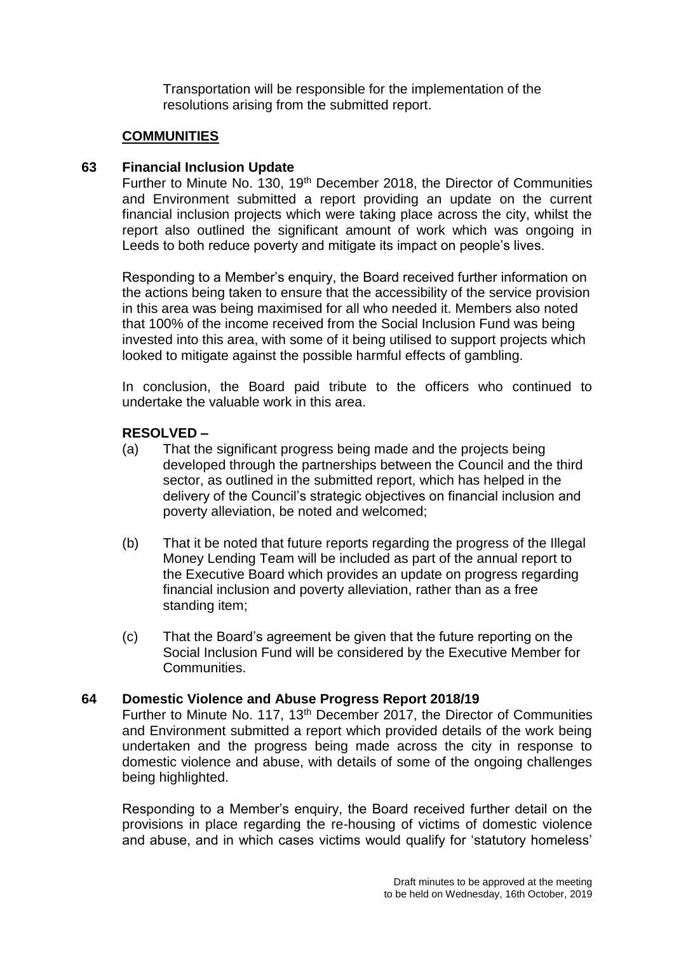Transportation will be responsible for the implementation of the resolutions arising from the submitted report.

### **COMMUNITIES**

### **63 Financial Inclusion Update**

Further to Minute No. 130, 19<sup>th</sup> December 2018, the Director of Communities and Environment submitted a report providing an update on the current financial inclusion projects which were taking place across the city, whilst the report also outlined the significant amount of work which was ongoing in Leeds to both reduce poverty and mitigate its impact on people's lives.

Responding to a Member's enquiry, the Board received further information on the actions being taken to ensure that the accessibility of the service provision in this area was being maximised for all who needed it. Members also noted that 100% of the income received from the Social Inclusion Fund was being invested into this area, with some of it being utilised to support projects which looked to mitigate against the possible harmful effects of gambling.

In conclusion, the Board paid tribute to the officers who continued to undertake the valuable work in this area.

### **RESOLVED –**

- (a) That the significant progress being made and the projects being developed through the partnerships between the Council and the third sector, as outlined in the submitted report, which has helped in the delivery of the Council's strategic objectives on financial inclusion and poverty alleviation, be noted and welcomed;
- (b) That it be noted that future reports regarding the progress of the Illegal Money Lending Team will be included as part of the annual report to the Executive Board which provides an update on progress regarding financial inclusion and poverty alleviation, rather than as a free standing item;
- (c) That the Board's agreement be given that the future reporting on the Social Inclusion Fund will be considered by the Executive Member for Communities.

### **64 Domestic Violence and Abuse Progress Report 2018/19**

Further to Minute No. 117, 13<sup>th</sup> December 2017, the Director of Communities and Environment submitted a report which provided details of the work being undertaken and the progress being made across the city in response to domestic violence and abuse, with details of some of the ongoing challenges being highlighted.

Responding to a Member's enquiry, the Board received further detail on the provisions in place regarding the re-housing of victims of domestic violence and abuse, and in which cases victims would qualify for 'statutory homeless'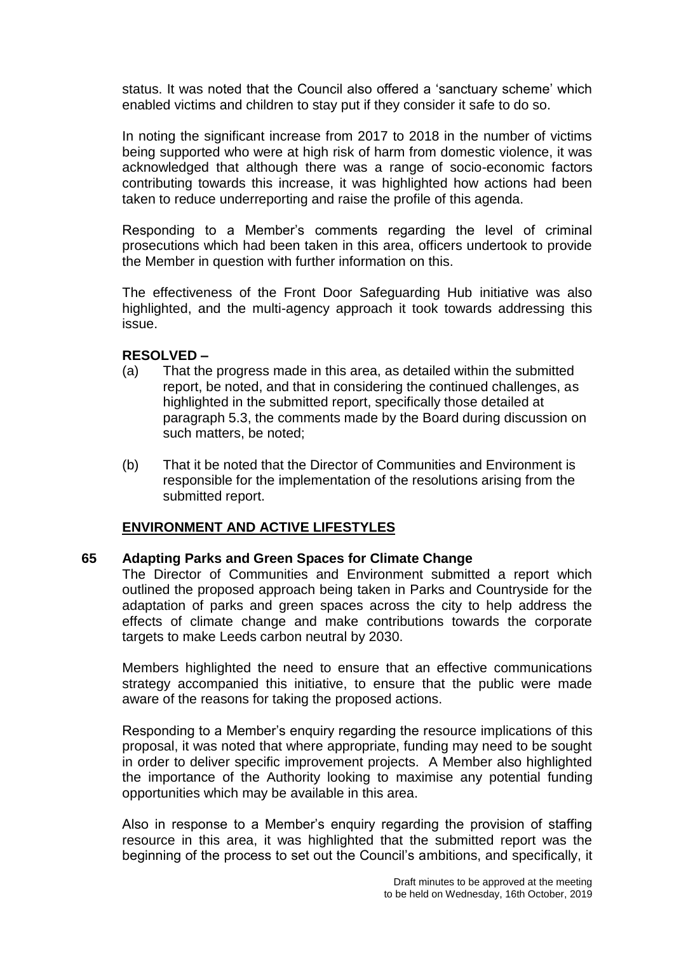status. It was noted that the Council also offered a 'sanctuary scheme' which enabled victims and children to stay put if they consider it safe to do so.

In noting the significant increase from 2017 to 2018 in the number of victims being supported who were at high risk of harm from domestic violence, it was acknowledged that although there was a range of socio-economic factors contributing towards this increase, it was highlighted how actions had been taken to reduce underreporting and raise the profile of this agenda.

Responding to a Member's comments regarding the level of criminal prosecutions which had been taken in this area, officers undertook to provide the Member in question with further information on this.

The effectiveness of the Front Door Safeguarding Hub initiative was also highlighted, and the multi-agency approach it took towards addressing this issue.

### **RESOLVED –**

- (a) That the progress made in this area, as detailed within the submitted report, be noted, and that in considering the continued challenges, as highlighted in the submitted report, specifically those detailed at paragraph 5.3, the comments made by the Board during discussion on such matters, be noted;
- (b) That it be noted that the Director of Communities and Environment is responsible for the implementation of the resolutions arising from the submitted report.

### **ENVIRONMENT AND ACTIVE LIFESTYLES**

### **65 Adapting Parks and Green Spaces for Climate Change**

The Director of Communities and Environment submitted a report which outlined the proposed approach being taken in Parks and Countryside for the adaptation of parks and green spaces across the city to help address the effects of climate change and make contributions towards the corporate targets to make Leeds carbon neutral by 2030.

Members highlighted the need to ensure that an effective communications strategy accompanied this initiative, to ensure that the public were made aware of the reasons for taking the proposed actions.

Responding to a Member's enquiry regarding the resource implications of this proposal, it was noted that where appropriate, funding may need to be sought in order to deliver specific improvement projects. A Member also highlighted the importance of the Authority looking to maximise any potential funding opportunities which may be available in this area.

Also in response to a Member's enquiry regarding the provision of staffing resource in this area, it was highlighted that the submitted report was the beginning of the process to set out the Council's ambitions, and specifically, it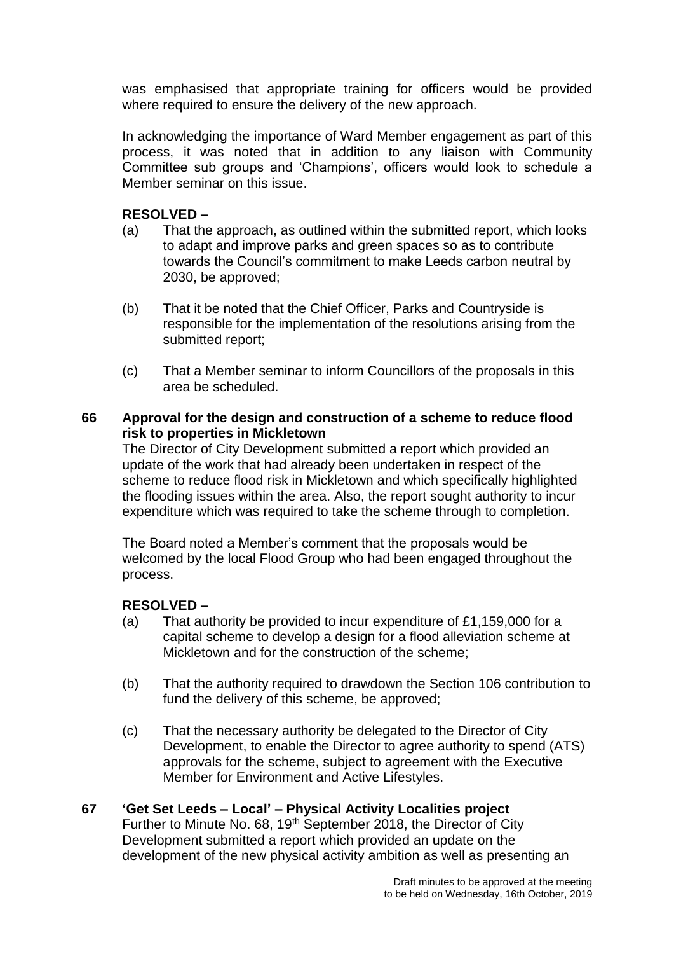was emphasised that appropriate training for officers would be provided where required to ensure the delivery of the new approach.

In acknowledging the importance of Ward Member engagement as part of this process, it was noted that in addition to any liaison with Community Committee sub groups and 'Champions', officers would look to schedule a Member seminar on this issue.

# **RESOLVED –**

- (a) That the approach, as outlined within the submitted report, which looks to adapt and improve parks and green spaces so as to contribute towards the Council's commitment to make Leeds carbon neutral by 2030, be approved;
- (b) That it be noted that the Chief Officer, Parks and Countryside is responsible for the implementation of the resolutions arising from the submitted report;
- (c) That a Member seminar to inform Councillors of the proposals in this area be scheduled.

### **66 Approval for the design and construction of a scheme to reduce flood risk to properties in Mickletown**

The Director of City Development submitted a report which provided an update of the work that had already been undertaken in respect of the scheme to reduce flood risk in Mickletown and which specifically highlighted the flooding issues within the area. Also, the report sought authority to incur expenditure which was required to take the scheme through to completion.

The Board noted a Member's comment that the proposals would be welcomed by the local Flood Group who had been engaged throughout the process.

### **RESOLVED –**

- (a) That authority be provided to incur expenditure of £1,159,000 for a capital scheme to develop a design for a flood alleviation scheme at Mickletown and for the construction of the scheme;
- (b) That the authority required to drawdown the Section 106 contribution to fund the delivery of this scheme, be approved;
- (c) That the necessary authority be delegated to the Director of City Development, to enable the Director to agree authority to spend (ATS) approvals for the scheme, subject to agreement with the Executive Member for Environment and Active Lifestyles.

# **67 'Get Set Leeds – Local' – Physical Activity Localities project**

Further to Minute No. 68, 19<sup>th</sup> September 2018, the Director of City Development submitted a report which provided an update on the development of the new physical activity ambition as well as presenting an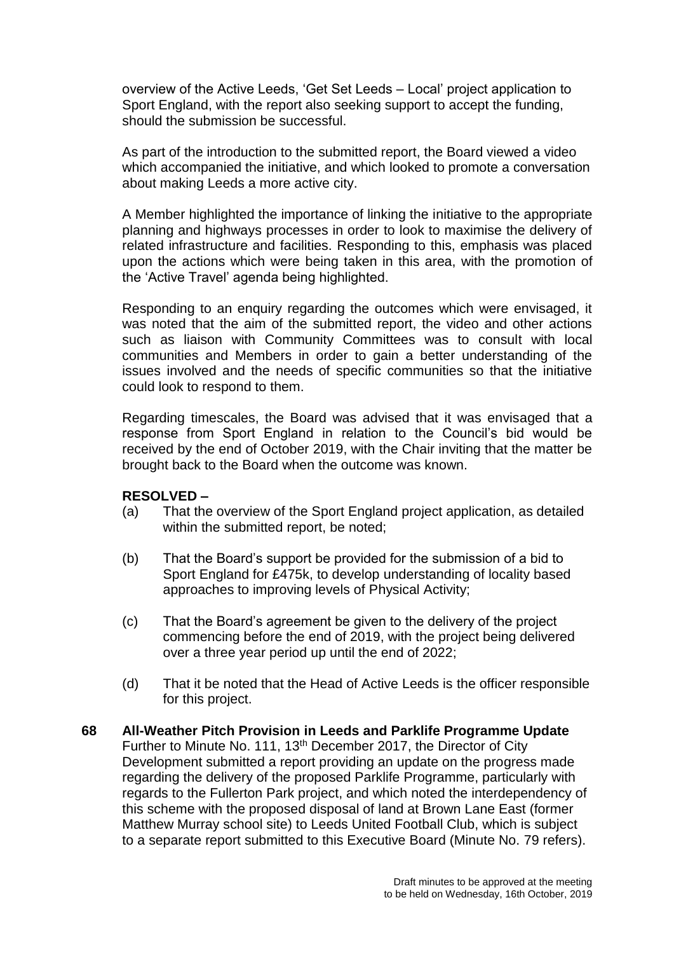overview of the Active Leeds, 'Get Set Leeds – Local' project application to Sport England, with the report also seeking support to accept the funding, should the submission be successful.

As part of the introduction to the submitted report, the Board viewed a video which accompanied the initiative, and which looked to promote a conversation about making Leeds a more active city.

A Member highlighted the importance of linking the initiative to the appropriate planning and highways processes in order to look to maximise the delivery of related infrastructure and facilities. Responding to this, emphasis was placed upon the actions which were being taken in this area, with the promotion of the 'Active Travel' agenda being highlighted.

Responding to an enquiry regarding the outcomes which were envisaged, it was noted that the aim of the submitted report, the video and other actions such as liaison with Community Committees was to consult with local communities and Members in order to gain a better understanding of the issues involved and the needs of specific communities so that the initiative could look to respond to them.

Regarding timescales, the Board was advised that it was envisaged that a response from Sport England in relation to the Council's bid would be received by the end of October 2019, with the Chair inviting that the matter be brought back to the Board when the outcome was known.

- (a) That the overview of the Sport England project application, as detailed within the submitted report, be noted:
- (b) That the Board's support be provided for the submission of a bid to Sport England for £475k, to develop understanding of locality based approaches to improving levels of Physical Activity;
- (c) That the Board's agreement be given to the delivery of the project commencing before the end of 2019, with the project being delivered over a three year period up until the end of 2022;
- (d) That it be noted that the Head of Active Leeds is the officer responsible for this project.
- **68 All-Weather Pitch Provision in Leeds and Parklife Programme Update** Further to Minute No. 111, 13<sup>th</sup> December 2017, the Director of City Development submitted a report providing an update on the progress made regarding the delivery of the proposed Parklife Programme, particularly with regards to the Fullerton Park project, and which noted the interdependency of this scheme with the proposed disposal of land at Brown Lane East (former Matthew Murray school site) to Leeds United Football Club, which is subject to a separate report submitted to this Executive Board (Minute No. 79 refers).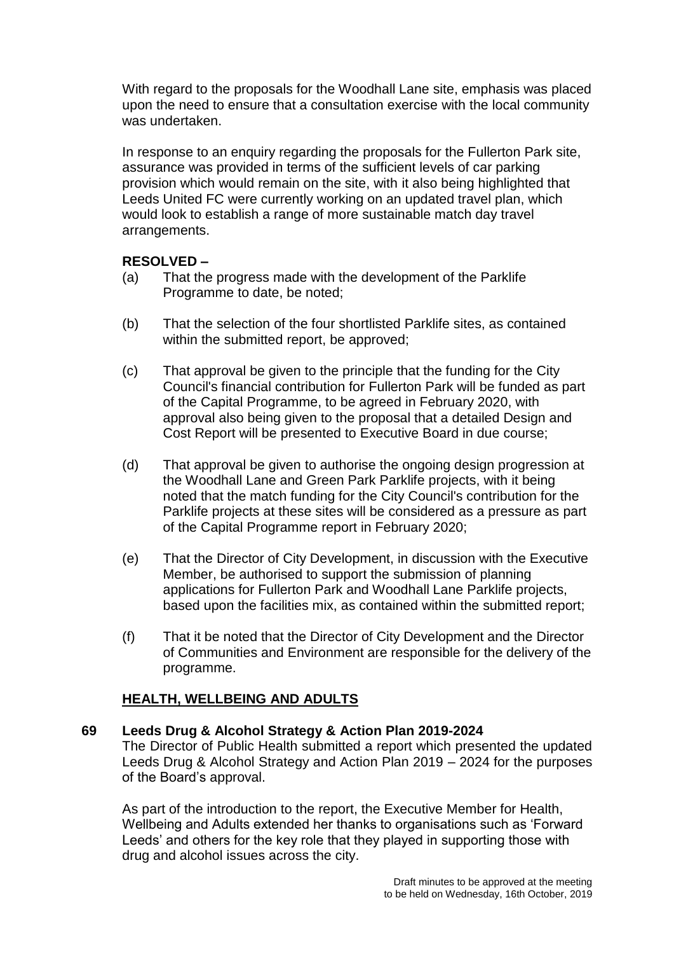With regard to the proposals for the Woodhall Lane site, emphasis was placed upon the need to ensure that a consultation exercise with the local community was undertaken.

In response to an enquiry regarding the proposals for the Fullerton Park site, assurance was provided in terms of the sufficient levels of car parking provision which would remain on the site, with it also being highlighted that Leeds United FC were currently working on an updated travel plan, which would look to establish a range of more sustainable match day travel arrangements.

## **RESOLVED –**

- (a) That the progress made with the development of the Parklife Programme to date, be noted;
- (b) That the selection of the four shortlisted Parklife sites, as contained within the submitted report, be approved:
- (c) That approval be given to the principle that the funding for the City Council's financial contribution for Fullerton Park will be funded as part of the Capital Programme, to be agreed in February 2020, with approval also being given to the proposal that a detailed Design and Cost Report will be presented to Executive Board in due course;
- (d) That approval be given to authorise the ongoing design progression at the Woodhall Lane and Green Park Parklife projects, with it being noted that the match funding for the City Council's contribution for the Parklife projects at these sites will be considered as a pressure as part of the Capital Programme report in February 2020;
- (e) That the Director of City Development, in discussion with the Executive Member, be authorised to support the submission of planning applications for Fullerton Park and Woodhall Lane Parklife projects, based upon the facilities mix, as contained within the submitted report;
- (f) That it be noted that the Director of City Development and the Director of Communities and Environment are responsible for the delivery of the programme.

# **HEALTH, WELLBEING AND ADULTS**

### **69 Leeds Drug & Alcohol Strategy & Action Plan 2019-2024**

The Director of Public Health submitted a report which presented the updated Leeds Drug & Alcohol Strategy and Action Plan 2019 – 2024 for the purposes of the Board's approval.

As part of the introduction to the report, the Executive Member for Health, Wellbeing and Adults extended her thanks to organisations such as 'Forward Leeds' and others for the key role that they played in supporting those with drug and alcohol issues across the city.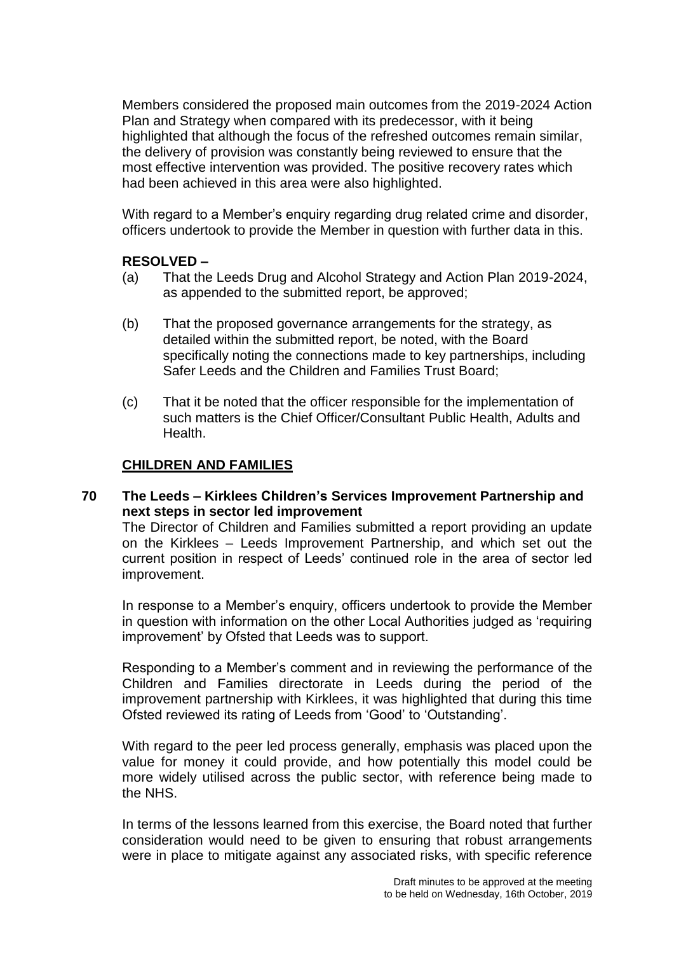Members considered the proposed main outcomes from the 2019-2024 Action Plan and Strategy when compared with its predecessor, with it being highlighted that although the focus of the refreshed outcomes remain similar, the delivery of provision was constantly being reviewed to ensure that the most effective intervention was provided. The positive recovery rates which had been achieved in this area were also highlighted.

With regard to a Member's enquiry regarding drug related crime and disorder, officers undertook to provide the Member in question with further data in this.

### **RESOLVED –**

- (a) That the Leeds Drug and Alcohol Strategy and Action Plan 2019-2024, as appended to the submitted report, be approved;
- (b) That the proposed governance arrangements for the strategy, as detailed within the submitted report, be noted, with the Board specifically noting the connections made to key partnerships, including Safer Leeds and the Children and Families Trust Board;
- (c) That it be noted that the officer responsible for the implementation of such matters is the Chief Officer/Consultant Public Health, Adults and Health.

## **CHILDREN AND FAMILIES**

## **70 The Leeds – Kirklees Children's Services Improvement Partnership and next steps in sector led improvement**

The Director of Children and Families submitted a report providing an update on the Kirklees – Leeds Improvement Partnership, and which set out the current position in respect of Leeds' continued role in the area of sector led improvement.

In response to a Member's enquiry, officers undertook to provide the Member in question with information on the other Local Authorities judged as 'requiring improvement' by Ofsted that Leeds was to support.

Responding to a Member's comment and in reviewing the performance of the Children and Families directorate in Leeds during the period of the improvement partnership with Kirklees, it was highlighted that during this time Ofsted reviewed its rating of Leeds from 'Good' to 'Outstanding'.

With regard to the peer led process generally, emphasis was placed upon the value for money it could provide, and how potentially this model could be more widely utilised across the public sector, with reference being made to the NHS.

In terms of the lessons learned from this exercise, the Board noted that further consideration would need to be given to ensuring that robust arrangements were in place to mitigate against any associated risks, with specific reference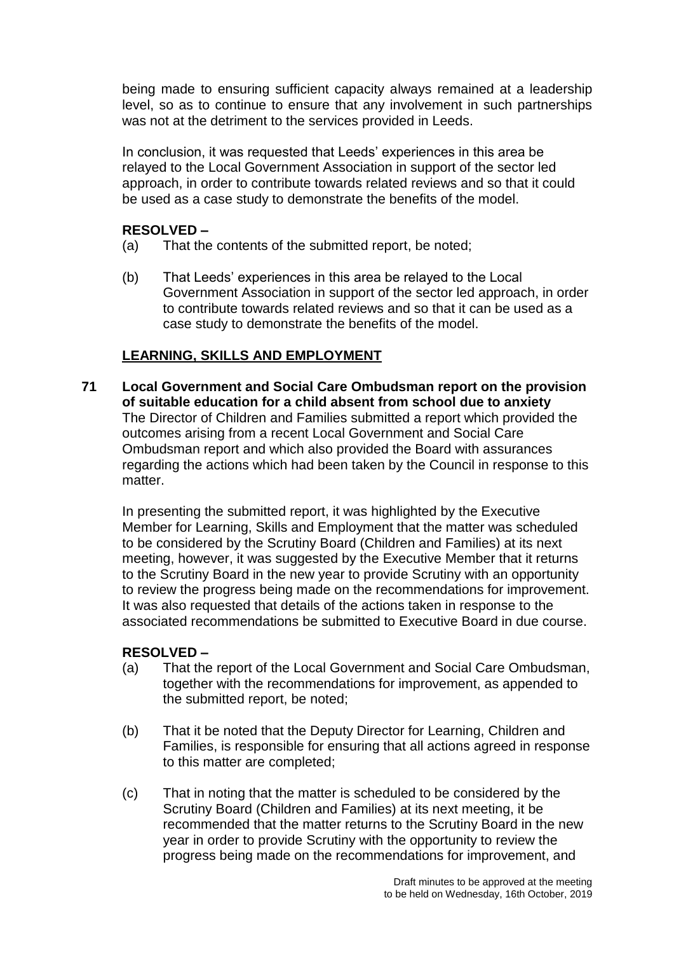being made to ensuring sufficient capacity always remained at a leadership level, so as to continue to ensure that any involvement in such partnerships was not at the detriment to the services provided in Leeds.

In conclusion, it was requested that Leeds' experiences in this area be relayed to the Local Government Association in support of the sector led approach, in order to contribute towards related reviews and so that it could be used as a case study to demonstrate the benefits of the model.

# **RESOLVED –**

- (a) That the contents of the submitted report, be noted;
- (b) That Leeds' experiences in this area be relayed to the Local Government Association in support of the sector led approach, in order to contribute towards related reviews and so that it can be used as a case study to demonstrate the benefits of the model.

## **LEARNING, SKILLS AND EMPLOYMENT**

**71 Local Government and Social Care Ombudsman report on the provision of suitable education for a child absent from school due to anxiety** The Director of Children and Families submitted a report which provided the outcomes arising from a recent Local Government and Social Care Ombudsman report and which also provided the Board with assurances regarding the actions which had been taken by the Council in response to this matter.

In presenting the submitted report, it was highlighted by the Executive Member for Learning, Skills and Employment that the matter was scheduled to be considered by the Scrutiny Board (Children and Families) at its next meeting, however, it was suggested by the Executive Member that it returns to the Scrutiny Board in the new year to provide Scrutiny with an opportunity to review the progress being made on the recommendations for improvement. It was also requested that details of the actions taken in response to the associated recommendations be submitted to Executive Board in due course.

- (a) That the report of the Local Government and Social Care Ombudsman, together with the recommendations for improvement, as appended to the submitted report, be noted;
- (b) That it be noted that the Deputy Director for Learning, Children and Families, is responsible for ensuring that all actions agreed in response to this matter are completed;
- (c) That in noting that the matter is scheduled to be considered by the Scrutiny Board (Children and Families) at its next meeting, it be recommended that the matter returns to the Scrutiny Board in the new year in order to provide Scrutiny with the opportunity to review the progress being made on the recommendations for improvement, and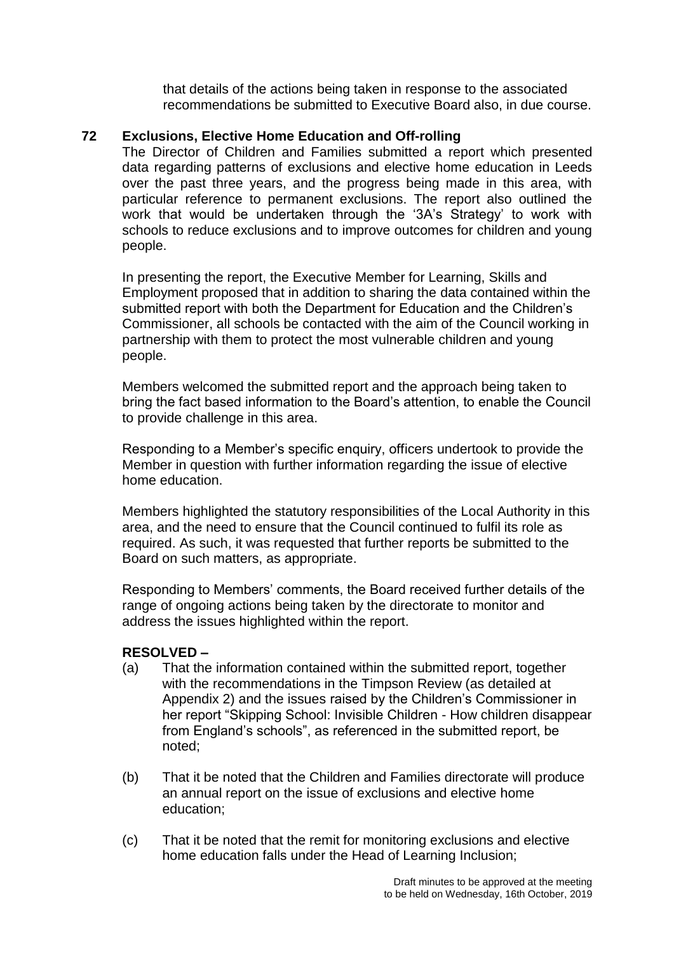that details of the actions being taken in response to the associated recommendations be submitted to Executive Board also, in due course.

## **72 Exclusions, Elective Home Education and Off-rolling**

The Director of Children and Families submitted a report which presented data regarding patterns of exclusions and elective home education in Leeds over the past three years, and the progress being made in this area, with particular reference to permanent exclusions. The report also outlined the work that would be undertaken through the '3A's Strategy' to work with schools to reduce exclusions and to improve outcomes for children and young people.

In presenting the report, the Executive Member for Learning, Skills and Employment proposed that in addition to sharing the data contained within the submitted report with both the Department for Education and the Children's Commissioner, all schools be contacted with the aim of the Council working in partnership with them to protect the most vulnerable children and young people.

Members welcomed the submitted report and the approach being taken to bring the fact based information to the Board's attention, to enable the Council to provide challenge in this area.

Responding to a Member's specific enquiry, officers undertook to provide the Member in question with further information regarding the issue of elective home education.

Members highlighted the statutory responsibilities of the Local Authority in this area, and the need to ensure that the Council continued to fulfil its role as required. As such, it was requested that further reports be submitted to the Board on such matters, as appropriate.

Responding to Members' comments, the Board received further details of the range of ongoing actions being taken by the directorate to monitor and address the issues highlighted within the report.

- (a) That the information contained within the submitted report, together with the recommendations in the Timpson Review (as detailed at Appendix 2) and the issues raised by the Children's Commissioner in her report "Skipping School: Invisible Children - How children disappear from England's schools", as referenced in the submitted report, be noted;
- (b) That it be noted that the Children and Families directorate will produce an annual report on the issue of exclusions and elective home education;
- (c) That it be noted that the remit for monitoring exclusions and elective home education falls under the Head of Learning Inclusion;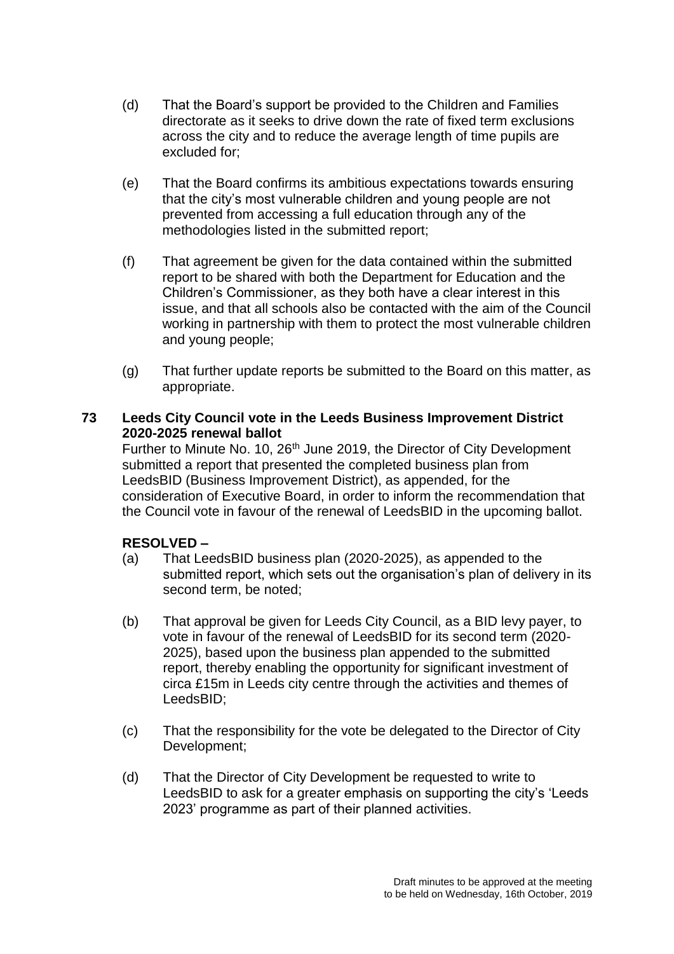- (d) That the Board's support be provided to the Children and Families directorate as it seeks to drive down the rate of fixed term exclusions across the city and to reduce the average length of time pupils are excluded for;
- (e) That the Board confirms its ambitious expectations towards ensuring that the city's most vulnerable children and young people are not prevented from accessing a full education through any of the methodologies listed in the submitted report;
- (f) That agreement be given for the data contained within the submitted report to be shared with both the Department for Education and the Children's Commissioner, as they both have a clear interest in this issue, and that all schools also be contacted with the aim of the Council working in partnership with them to protect the most vulnerable children and young people;
- (g) That further update reports be submitted to the Board on this matter, as appropriate.

## **73 Leeds City Council vote in the Leeds Business Improvement District 2020-2025 renewal ballot**

Further to Minute No. 10, 26<sup>th</sup> June 2019, the Director of City Development submitted a report that presented the completed business plan from LeedsBID (Business Improvement District), as appended, for the consideration of Executive Board, in order to inform the recommendation that the Council vote in favour of the renewal of LeedsBID in the upcoming ballot.

- (a) That LeedsBID business plan (2020-2025), as appended to the submitted report, which sets out the organisation's plan of delivery in its second term, be noted;
- (b) That approval be given for Leeds City Council, as a BID levy payer, to vote in favour of the renewal of LeedsBID for its second term (2020- 2025), based upon the business plan appended to the submitted report, thereby enabling the opportunity for significant investment of circa £15m in Leeds city centre through the activities and themes of LeedsBID;
- (c) That the responsibility for the vote be delegated to the Director of City Development;
- (d) That the Director of City Development be requested to write to LeedsBID to ask for a greater emphasis on supporting the city's 'Leeds 2023' programme as part of their planned activities.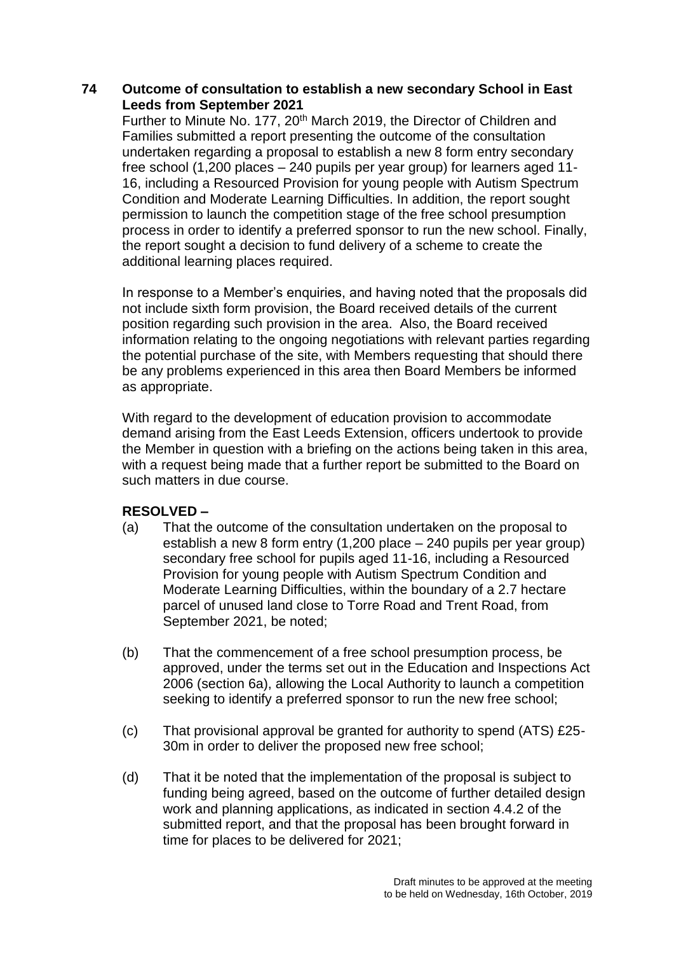### **74 Outcome of consultation to establish a new secondary School in East Leeds from September 2021**

Further to Minute No. 177, 20th March 2019, the Director of Children and Families submitted a report presenting the outcome of the consultation undertaken regarding a proposal to establish a new 8 form entry secondary free school (1,200 places – 240 pupils per year group) for learners aged 11- 16, including a Resourced Provision for young people with Autism Spectrum Condition and Moderate Learning Difficulties. In addition, the report sought permission to launch the competition stage of the free school presumption process in order to identify a preferred sponsor to run the new school. Finally, the report sought a decision to fund delivery of a scheme to create the additional learning places required.

In response to a Member's enquiries, and having noted that the proposals did not include sixth form provision, the Board received details of the current position regarding such provision in the area. Also, the Board received information relating to the ongoing negotiations with relevant parties regarding the potential purchase of the site, with Members requesting that should there be any problems experienced in this area then Board Members be informed as appropriate.

With regard to the development of education provision to accommodate demand arising from the East Leeds Extension, officers undertook to provide the Member in question with a briefing on the actions being taken in this area, with a request being made that a further report be submitted to the Board on such matters in due course.

- (a) That the outcome of the consultation undertaken on the proposal to establish a new 8 form entry (1,200 place – 240 pupils per year group) secondary free school for pupils aged 11-16, including a Resourced Provision for young people with Autism Spectrum Condition and Moderate Learning Difficulties, within the boundary of a 2.7 hectare parcel of unused land close to Torre Road and Trent Road, from September 2021, be noted;
- (b) That the commencement of a free school presumption process, be approved, under the terms set out in the Education and Inspections Act 2006 (section 6a), allowing the Local Authority to launch a competition seeking to identify a preferred sponsor to run the new free school;
- (c) That provisional approval be granted for authority to spend (ATS) £25- 30m in order to deliver the proposed new free school;
- (d) That it be noted that the implementation of the proposal is subject to funding being agreed, based on the outcome of further detailed design work and planning applications, as indicated in section 4.4.2 of the submitted report, and that the proposal has been brought forward in time for places to be delivered for 2021;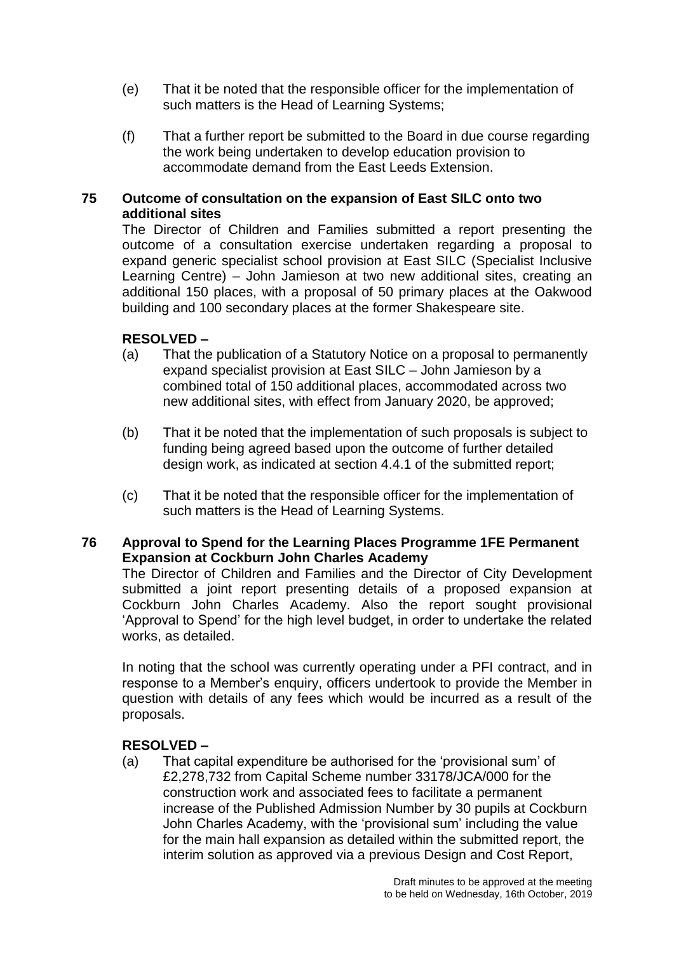- (e) That it be noted that the responsible officer for the implementation of such matters is the Head of Learning Systems;
- (f) That a further report be submitted to the Board in due course regarding the work being undertaken to develop education provision to accommodate demand from the East Leeds Extension.

### **75 Outcome of consultation on the expansion of East SILC onto two additional sites**

The Director of Children and Families submitted a report presenting the outcome of a consultation exercise undertaken regarding a proposal to expand generic specialist school provision at East SILC (Specialist Inclusive Learning Centre) – John Jamieson at two new additional sites, creating an additional 150 places, with a proposal of 50 primary places at the Oakwood building and 100 secondary places at the former Shakespeare site.

## **RESOLVED –**

- (a) That the publication of a Statutory Notice on a proposal to permanently expand specialist provision at East SILC – John Jamieson by a combined total of 150 additional places, accommodated across two new additional sites, with effect from January 2020, be approved;
- (b) That it be noted that the implementation of such proposals is subject to funding being agreed based upon the outcome of further detailed design work, as indicated at section 4.4.1 of the submitted report;
- (c) That it be noted that the responsible officer for the implementation of such matters is the Head of Learning Systems.

## **76 Approval to Spend for the Learning Places Programme 1FE Permanent Expansion at Cockburn John Charles Academy**

The Director of Children and Families and the Director of City Development submitted a joint report presenting details of a proposed expansion at Cockburn John Charles Academy. Also the report sought provisional 'Approval to Spend' for the high level budget, in order to undertake the related works, as detailed.

In noting that the school was currently operating under a PFI contract, and in response to a Member's enquiry, officers undertook to provide the Member in question with details of any fees which would be incurred as a result of the proposals.

# **RESOLVED –**

(a) That capital expenditure be authorised for the 'provisional sum' of £2,278,732 from Capital Scheme number 33178/JCA/000 for the construction work and associated fees to facilitate a permanent increase of the Published Admission Number by 30 pupils at Cockburn John Charles Academy, with the 'provisional sum' including the value for the main hall expansion as detailed within the submitted report, the interim solution as approved via a previous Design and Cost Report,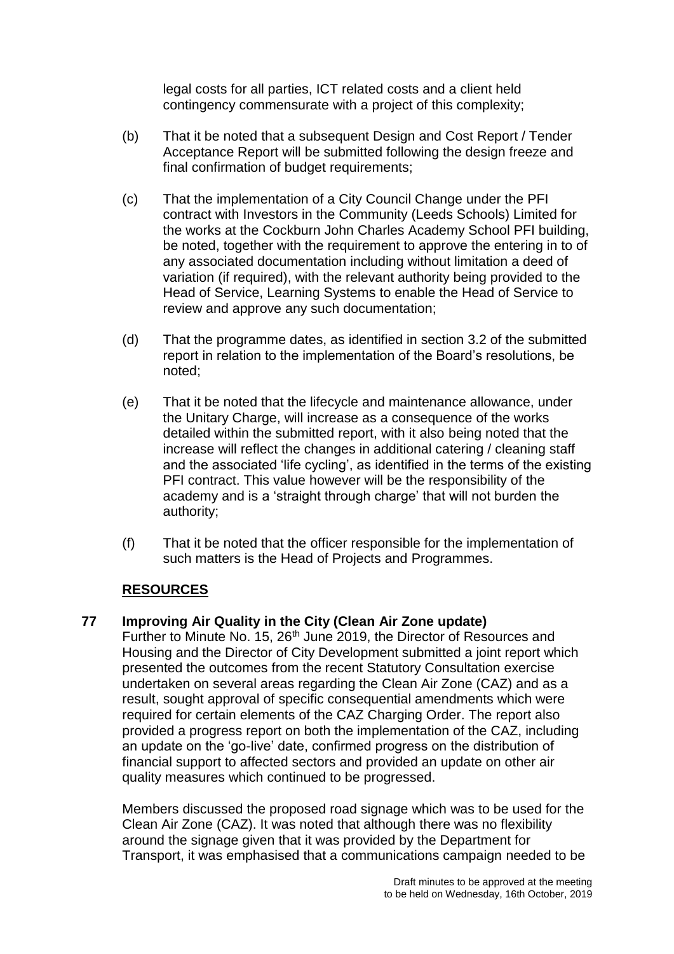legal costs for all parties, ICT related costs and a client held contingency commensurate with a project of this complexity;

- (b) That it be noted that a subsequent Design and Cost Report / Tender Acceptance Report will be submitted following the design freeze and final confirmation of budget requirements;
- (c) That the implementation of a City Council Change under the PFI contract with Investors in the Community (Leeds Schools) Limited for the works at the Cockburn John Charles Academy School PFI building, be noted, together with the requirement to approve the entering in to of any associated documentation including without limitation a deed of variation (if required), with the relevant authority being provided to the Head of Service, Learning Systems to enable the Head of Service to review and approve any such documentation;
- (d) That the programme dates, as identified in section 3.2 of the submitted report in relation to the implementation of the Board's resolutions, be noted;
- (e) That it be noted that the lifecycle and maintenance allowance, under the Unitary Charge, will increase as a consequence of the works detailed within the submitted report, with it also being noted that the increase will reflect the changes in additional catering / cleaning staff and the associated 'life cycling', as identified in the terms of the existing PFI contract. This value however will be the responsibility of the academy and is a 'straight through charge' that will not burden the authority;
- (f) That it be noted that the officer responsible for the implementation of such matters is the Head of Projects and Programmes.

# **RESOURCES**

### **77 Improving Air Quality in the City (Clean Air Zone update)**

Further to Minute No. 15, 26<sup>th</sup> June 2019, the Director of Resources and Housing and the Director of City Development submitted a joint report which presented the outcomes from the recent Statutory Consultation exercise undertaken on several areas regarding the Clean Air Zone (CAZ) and as a result, sought approval of specific consequential amendments which were required for certain elements of the CAZ Charging Order. The report also provided a progress report on both the implementation of the CAZ, including an update on the 'go-live' date, confirmed progress on the distribution of financial support to affected sectors and provided an update on other air quality measures which continued to be progressed.

Members discussed the proposed road signage which was to be used for the Clean Air Zone (CAZ). It was noted that although there was no flexibility around the signage given that it was provided by the Department for Transport, it was emphasised that a communications campaign needed to be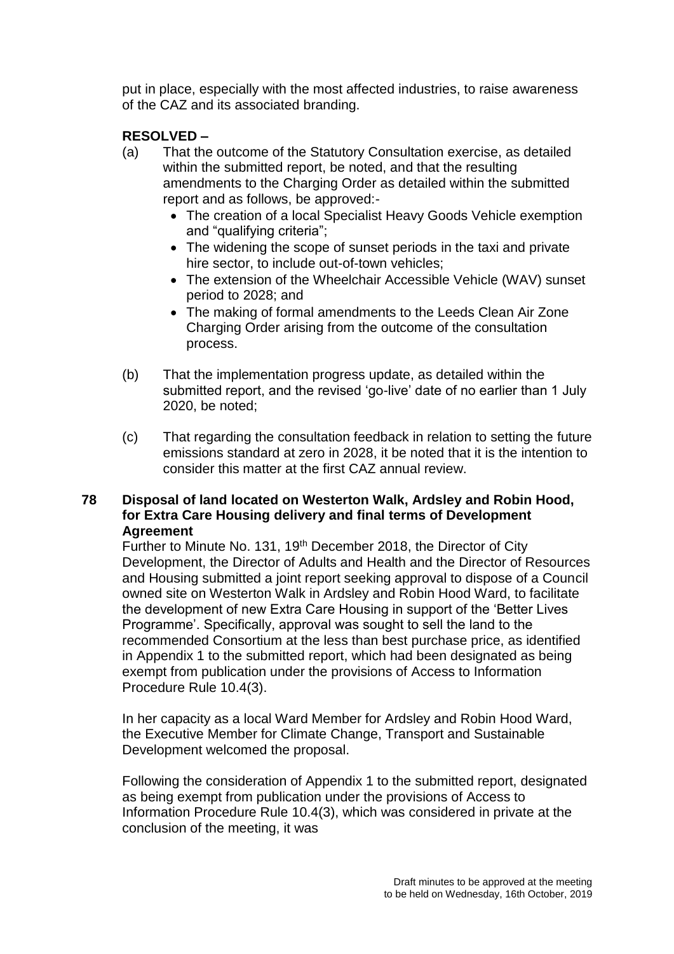put in place, especially with the most affected industries, to raise awareness of the CAZ and its associated branding.

# **RESOLVED –**

- (a) That the outcome of the Statutory Consultation exercise, as detailed within the submitted report, be noted, and that the resulting amendments to the Charging Order as detailed within the submitted report and as follows, be approved:-
	- The creation of a local Specialist Heavy Goods Vehicle exemption and "qualifying criteria";
	- The widening the scope of sunset periods in the taxi and private hire sector, to include out-of-town vehicles;
	- The extension of the Wheelchair Accessible Vehicle (WAV) sunset period to 2028; and
	- The making of formal amendments to the Leeds Clean Air Zone Charging Order arising from the outcome of the consultation process.
- (b) That the implementation progress update, as detailed within the submitted report, and the revised 'go-live' date of no earlier than 1 July 2020, be noted;
- (c) That regarding the consultation feedback in relation to setting the future emissions standard at zero in 2028, it be noted that it is the intention to consider this matter at the first CAZ annual review.

### **78 Disposal of land located on Westerton Walk, Ardsley and Robin Hood, for Extra Care Housing delivery and final terms of Development Agreement**

Further to Minute No. 131, 19<sup>th</sup> December 2018, the Director of City Development, the Director of Adults and Health and the Director of Resources and Housing submitted a joint report seeking approval to dispose of a Council owned site on Westerton Walk in Ardsley and Robin Hood Ward, to facilitate the development of new Extra Care Housing in support of the 'Better Lives Programme'. Specifically, approval was sought to sell the land to the recommended Consortium at the less than best purchase price, as identified in Appendix 1 to the submitted report, which had been designated as being exempt from publication under the provisions of Access to Information Procedure Rule 10.4(3).

In her capacity as a local Ward Member for Ardsley and Robin Hood Ward, the Executive Member for Climate Change, Transport and Sustainable Development welcomed the proposal.

Following the consideration of Appendix 1 to the submitted report, designated as being exempt from publication under the provisions of Access to Information Procedure Rule 10.4(3), which was considered in private at the conclusion of the meeting, it was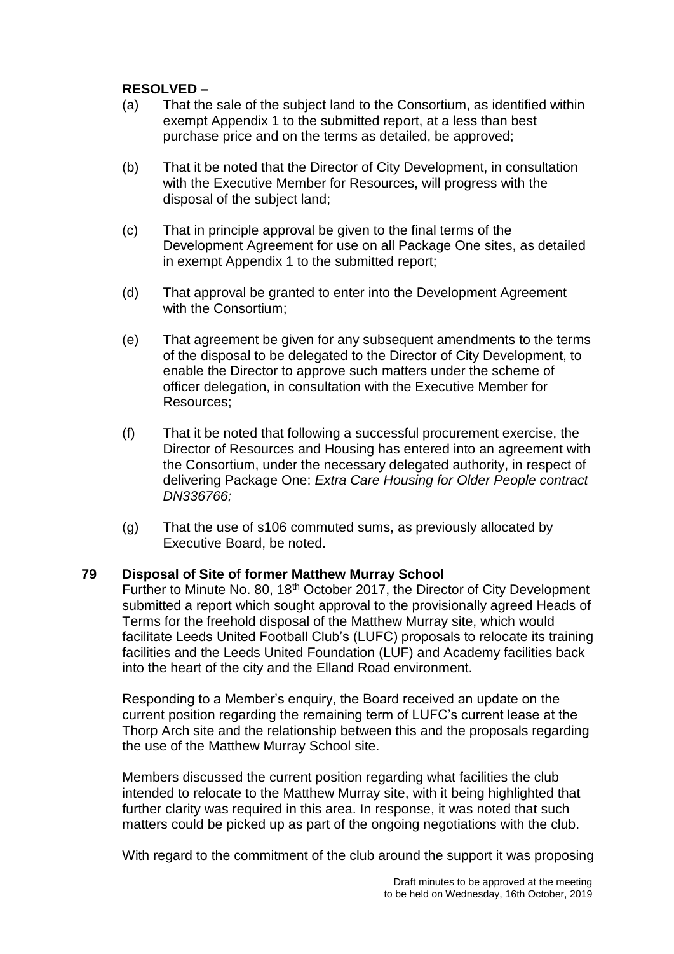# **RESOLVED –**

- (a) That the sale of the subject land to the Consortium, as identified within exempt Appendix 1 to the submitted report, at a less than best purchase price and on the terms as detailed, be approved;
- (b) That it be noted that the Director of City Development, in consultation with the Executive Member for Resources, will progress with the disposal of the subject land;
- (c) That in principle approval be given to the final terms of the Development Agreement for use on all Package One sites, as detailed in exempt Appendix 1 to the submitted report;
- (d) That approval be granted to enter into the Development Agreement with the Consortium;
- (e) That agreement be given for any subsequent amendments to the terms of the disposal to be delegated to the Director of City Development, to enable the Director to approve such matters under the scheme of officer delegation, in consultation with the Executive Member for Resources;
- (f) That it be noted that following a successful procurement exercise, the Director of Resources and Housing has entered into an agreement with the Consortium, under the necessary delegated authority, in respect of delivering Package One: *Extra Care Housing for Older People contract DN336766;*
- (g) That the use of s106 commuted sums, as previously allocated by Executive Board, be noted.

### **79 Disposal of Site of former Matthew Murray School**

Further to Minute No. 80, 18<sup>th</sup> October 2017, the Director of City Development submitted a report which sought approval to the provisionally agreed Heads of Terms for the freehold disposal of the Matthew Murray site, which would facilitate Leeds United Football Club's (LUFC) proposals to relocate its training facilities and the Leeds United Foundation (LUF) and Academy facilities back into the heart of the city and the Elland Road environment.

Responding to a Member's enquiry, the Board received an update on the current position regarding the remaining term of LUFC's current lease at the Thorp Arch site and the relationship between this and the proposals regarding the use of the Matthew Murray School site.

Members discussed the current position regarding what facilities the club intended to relocate to the Matthew Murray site, with it being highlighted that further clarity was required in this area. In response, it was noted that such matters could be picked up as part of the ongoing negotiations with the club.

With regard to the commitment of the club around the support it was proposing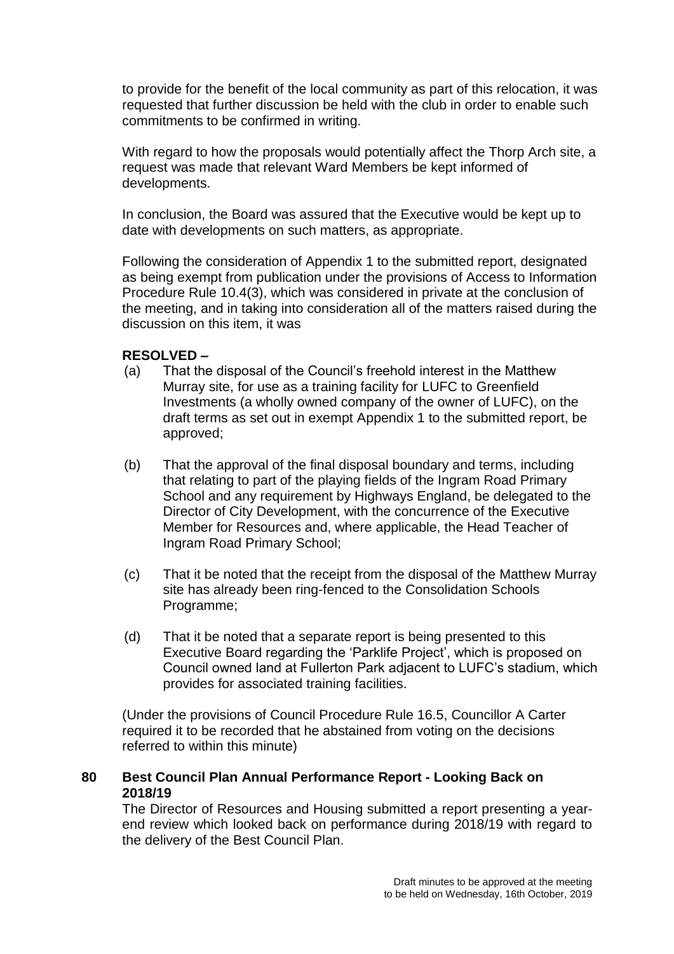to provide for the benefit of the local community as part of this relocation, it was requested that further discussion be held with the club in order to enable such commitments to be confirmed in writing.

With regard to how the proposals would potentially affect the Thorp Arch site, a request was made that relevant Ward Members be kept informed of developments.

In conclusion, the Board was assured that the Executive would be kept up to date with developments on such matters, as appropriate.

Following the consideration of Appendix 1 to the submitted report, designated as being exempt from publication under the provisions of Access to Information Procedure Rule 10.4(3), which was considered in private at the conclusion of the meeting, and in taking into consideration all of the matters raised during the discussion on this item, it was

## **RESOLVED –**

- (a) That the disposal of the Council's freehold interest in the Matthew Murray site, for use as a training facility for LUFC to Greenfield Investments (a wholly owned company of the owner of LUFC), on the draft terms as set out in exempt Appendix 1 to the submitted report, be approved;
- (b) That the approval of the final disposal boundary and terms, including that relating to part of the playing fields of the Ingram Road Primary School and any requirement by Highways England, be delegated to the Director of City Development, with the concurrence of the Executive Member for Resources and, where applicable, the Head Teacher of Ingram Road Primary School;
- (c) That it be noted that the receipt from the disposal of the Matthew Murray site has already been ring-fenced to the Consolidation Schools Programme;
- (d) That it be noted that a separate report is being presented to this Executive Board regarding the 'Parklife Project', which is proposed on Council owned land at Fullerton Park adjacent to LUFC's stadium, which provides for associated training facilities.

(Under the provisions of Council Procedure Rule 16.5, Councillor A Carter required it to be recorded that he abstained from voting on the decisions referred to within this minute)

## **80 Best Council Plan Annual Performance Report - Looking Back on 2018/19**

The Director of Resources and Housing submitted a report presenting a yearend review which looked back on performance during 2018/19 with regard to the delivery of the Best Council Plan.